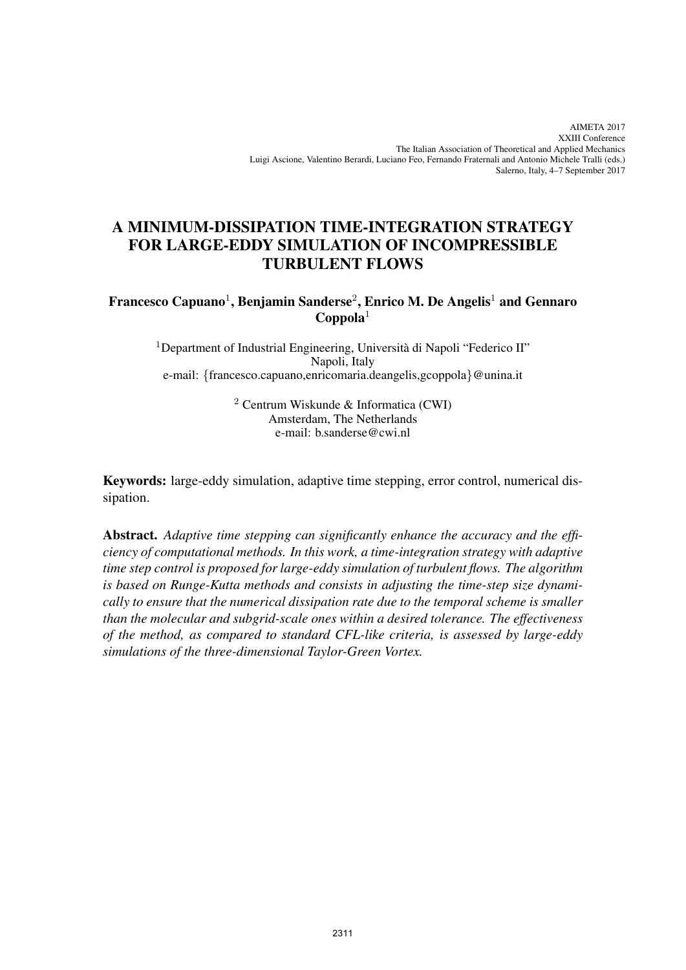# A MINIMUM-DISSIPATION TIME-INTEGRATION STRATEGY FOR LARGE-EDDY SIMULATION OF INCOMPRESSIBLE TURBULENT FLOWS

## Francesco Capuano $^1$ , Benjamin Sanderse $^2$ , Enrico M. De Angelis $^1$  and Gennaro  $\bf{Coppola}^1$

 $1$ Department of Industrial Engineering, Università di Napoli "Federico II" Napoli, Italy e-mail: {francesco.capuano,enricomaria.deangelis,gcoppola}@unina.it

> $2$  Centrum Wiskunde & Informatica (CWI) Amsterdam, The Netherlands e-mail: b.sanderse@cwi.nl

Keywords: large-eddy simulation, adaptive time stepping, error control, numerical dissipation.

Abstract. *Adaptive time stepping can significantly enhance the accuracy and the efficiency of computational methods. In this work, a time-integration strategy with adaptive time step control is proposed for large-eddy simulation of turbulent flows. The algorithm is based on Runge-Kutta methods and consists in adjusting the time-step size dynamically to ensure that the numerical dissipation rate due to the temporal scheme is smaller than the molecular and subgrid-scale ones within a desired tolerance. The effectiveness of the method, as compared to standard CFL-like criteria, is assessed by large-eddy simulations of the three-dimensional Taylor-Green Vortex.*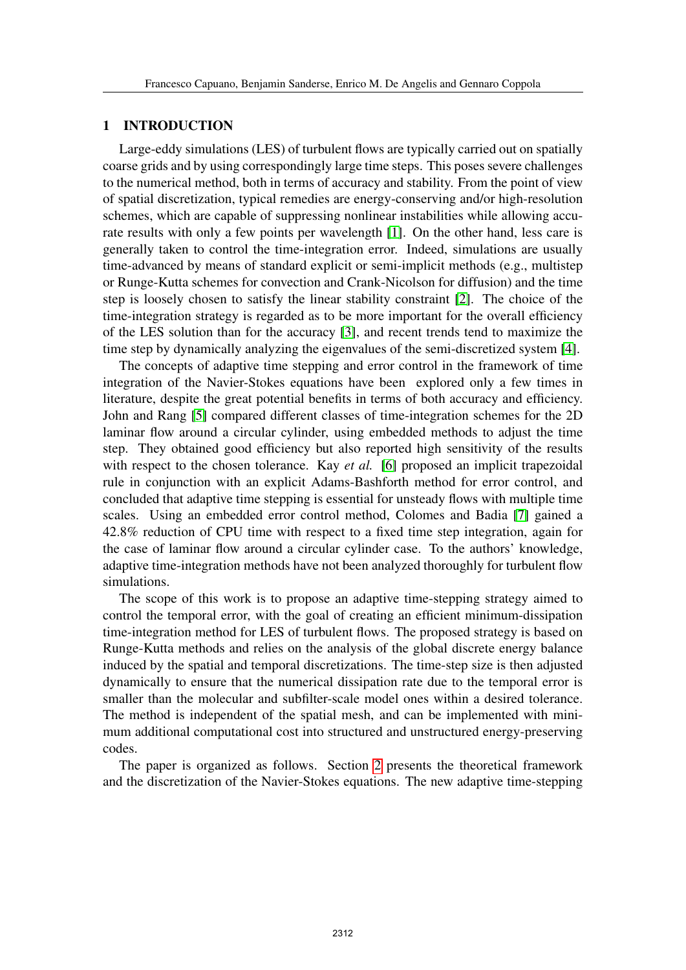#### 1 INTRODUCTION

Large-eddy simulations (LES) of turbulent flows are typically carried out on spatially coarse grids and by using correspondingly large time steps. This poses severe challenges to the numerical method, both in terms of accuracy and stability. From the point of view of spatial discretization, typical remedies are energy-conserving and/or high-resolution schemes, which are capable of suppressing nonlinear instabilities while allowing accurate results with only a few points per wavelength [\[1\]](#page-11-0). On the other hand, less care is generally taken to control the time-integration error. Indeed, simulations are usually time-advanced by means of standard explicit or semi-implicit methods (e.g., multistep or Runge-Kutta schemes for convection and Crank-Nicolson for diffusion) and the time step is loosely chosen to satisfy the linear stability constraint [\[2\]](#page-11-1). The choice of the time-integration strategy is regarded as to be more important for the overall efficiency of the LES solution than for the accuracy [\[3\]](#page-11-2), and recent trends tend to maximize the time step by dynamically analyzing the eigenvalues of the semi-discretized system [\[4\]](#page-11-3).

The concepts of adaptive time stepping and error control in the framework of time integration of the Navier-Stokes equations have been explored only a few times in literature, despite the great potential benefits in terms of both accuracy and efficiency. John and Rang [\[5\]](#page-11-4) compared different classes of time-integration schemes for the 2D laminar flow around a circular cylinder, using embedded methods to adjust the time step. They obtained good efficiency but also reported high sensitivity of the results with respect to the chosen tolerance. Kay *et al.* [\[6\]](#page-11-5) proposed an implicit trapezoidal rule in conjunction with an explicit Adams-Bashforth method for error control, and concluded that adaptive time stepping is essential for unsteady flows with multiple time scales. Using an embedded error control method, Colomes and Badia [\[7\]](#page-11-6) gained a 42.8% reduction of CPU time with respect to a fixed time step integration, again for the case of laminar flow around a circular cylinder case. To the authors' knowledge, adaptive time-integration methods have not been analyzed thoroughly for turbulent flow simulations.

The scope of this work is to propose an adaptive time-stepping strategy aimed to control the temporal error, with the goal of creating an efficient minimum-dissipation time-integration method for LES of turbulent flows. The proposed strategy is based on Runge-Kutta methods and relies on the analysis of the global discrete energy balance induced by the spatial and temporal discretizations. The time-step size is then adjusted dynamically to ensure that the numerical dissipation rate due to the temporal error is smaller than the molecular and subfilter-scale model ones within a desired tolerance. The method is independent of the spatial mesh, and can be implemented with minimum additional computational cost into structured and unstructured energy-preserving codes.

The paper is organized as follows. Section [2](#page-2-0) presents the theoretical framework and the discretization of the Navier-Stokes equations. The new adaptive time-stepping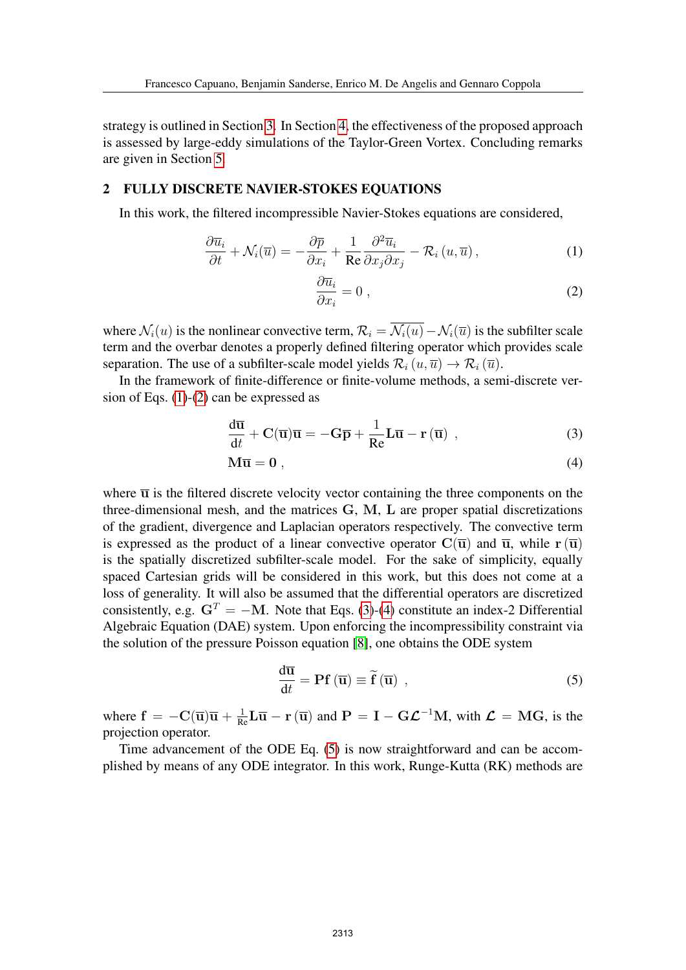strategy is outlined in Section [3.](#page-3-0) In Section [4,](#page-7-0) the effectiveness of the proposed approach is assessed by large-eddy simulations of the Taylor-Green Vortex. Concluding remarks are given in Section [5.](#page-9-0)

#### <span id="page-2-0"></span>2 FULLY DISCRETE NAVIER-STOKES EQUATIONS

In this work, the filtered incompressible Navier-Stokes equations are considered,

<span id="page-2-1"></span>
$$
\frac{\partial \overline{u}_i}{\partial t} + \mathcal{N}_i(\overline{u}) = -\frac{\partial \overline{p}}{\partial x_i} + \frac{1}{\text{Re}} \frac{\partial^2 \overline{u}_i}{\partial x_j \partial x_j} - \mathcal{R}_i(u, \overline{u}), \tag{1}
$$

<span id="page-2-3"></span><span id="page-2-2"></span>
$$
\frac{\partial \overline{u}_i}{\partial x_i} = 0 \tag{2}
$$

where  $\mathcal{N}_i(u)$  is the nonlinear convective term,  $\mathcal{R}_i = \overline{\mathcal{N}_i(u)} - \mathcal{N}_i(\overline{u})$  is the subfilter scale term and the overbar denotes a properly defined filtering operator which provides scale separation. The use of a subfilter-scale model yields  $\mathcal{R}_i(u, \overline{u}) \to \mathcal{R}_i(\overline{u})$ .

In the framework of finite-difference or finite-volume methods, a semi-discrete version of Eqs. [\(1\)](#page-2-1)-[\(2\)](#page-2-1) can be expressed as

$$
\frac{d\overline{u}}{dt} + C(\overline{u})\overline{u} = -G\overline{p} + \frac{1}{Re}L\overline{u} - r(\overline{u}), \qquad (3)
$$

$$
M\overline{u} = 0 \t{,} \t(4)
$$

where  $\overline{u}$  is the filtered discrete velocity vector containing the three components on the three-dimensional mesh, and the matrices G, M, L are proper spatial discretizations of the gradient, divergence and Laplacian operators respectively. The convective term is expressed as the product of a linear convective operator  $\mathbf{C}(\overline{\mathbf{u}})$  and  $\overline{\mathbf{u}}$ , while  $\mathbf{r}(\overline{\mathbf{u}})$ is the spatially discretized subfilter-scale model. For the sake of simplicity, equally spaced Cartesian grids will be considered in this work, but this does not come at a loss of generality. It will also be assumed that the differential operators are discretized consistently, e.g.  $G<sup>T</sup> = -M$ . Note that Eqs. [\(3\)](#page-2-2)-[\(4\)](#page-2-3) constitute an index-2 Differential Algebraic Equation (DAE) system. Upon enforcing the incompressibility constraint via the solution of the pressure Poisson equation [\[8\]](#page-11-7), one obtains the ODE system

<span id="page-2-4"></span>
$$
\frac{d\overline{\mathbf{u}}}{dt} = \mathbf{P} \mathbf{f} (\overline{\mathbf{u}}) \equiv \widetilde{\mathbf{f}} (\overline{\mathbf{u}}) , \qquad (5)
$$

where  $f = -C(\overline{u})\overline{u} + \frac{1}{Re}L\overline{u} - r(\overline{u})$  and  $P = I - G\mathcal{L}^{-1}M$ , with  $\mathcal{L} = MG$ , is the projection operator.

Time advancement of the ODE Eq. [\(5\)](#page-2-4) is now straightforward and can be accomplished by means of any ODE integrator. In this work, Runge-Kutta (RK) methods are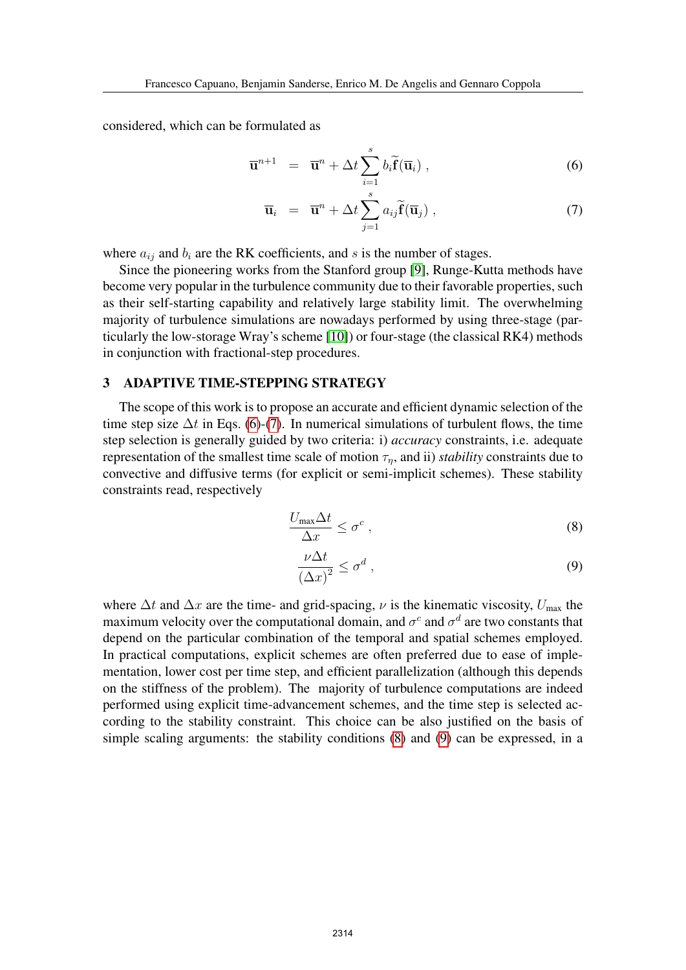considered, which can be formulated as

<span id="page-3-1"></span>
$$
\overline{\mathbf{u}}^{n+1} = \overline{\mathbf{u}}^n + \Delta t \sum_{i=1}^s b_i \widetilde{\mathbf{f}}(\overline{\mathbf{u}}_i) , \qquad (6)
$$

$$
\overline{\mathbf{u}}_i = \overline{\mathbf{u}}^n + \Delta t \sum_{j=1}^s a_{ij} \widetilde{\mathbf{f}}(\overline{\mathbf{u}}_j) , \qquad (7)
$$

where  $a_{ij}$  and  $b_i$  are the RK coefficients, and s is the number of stages.

Since the pioneering works from the Stanford group [\[9\]](#page-11-8), Runge-Kutta methods have become very popular in the turbulence community due to their favorable properties, such as their self-starting capability and relatively large stability limit. The overwhelming majority of turbulence simulations are nowadays performed by using three-stage (particularly the low-storage Wray's scheme [\[10\]](#page-11-9)) or four-stage (the classical RK4) methods in conjunction with fractional-step procedures.

#### <span id="page-3-0"></span>3 ADAPTIVE TIME-STEPPING STRATEGY

The scope of this work is to propose an accurate and efficient dynamic selection of the time step size  $\Delta t$  in Eqs. [\(6\)](#page-3-1)-[\(7\)](#page-3-1). In numerical simulations of turbulent flows, the time step selection is generally guided by two criteria: i) *accuracy* constraints, i.e. adequate representation of the smallest time scale of motion  $\tau_n$ , and ii) *stability* constraints due to convective and diffusive terms (for explicit or semi-implicit schemes). These stability constraints read, respectively

<span id="page-3-2"></span>
$$
\frac{U_{\max}\Delta t}{\Delta x} \leq \sigma^c \,,\tag{8}
$$

$$
\frac{\nu \Delta t}{\left(\Delta x\right)^2} \le \sigma^d \,,\tag{9}
$$

where  $\Delta t$  and  $\Delta x$  are the time- and grid-spacing,  $\nu$  is the kinematic viscosity,  $U_{\text{max}}$  the maximum velocity over the computational domain, and  $\sigma^c$  and  $\sigma^d$  are two constants that depend on the particular combination of the temporal and spatial schemes employed. In practical computations, explicit schemes are often preferred due to ease of implementation, lower cost per time step, and efficient parallelization (although this depends on the stiffness of the problem). The majority of turbulence computations are indeed performed using explicit time-advancement schemes, and the time step is selected according to the stability constraint. This choice can be also justified on the basis of simple scaling arguments: the stability conditions [\(8\)](#page-3-2) and [\(9\)](#page-3-2) can be expressed, in a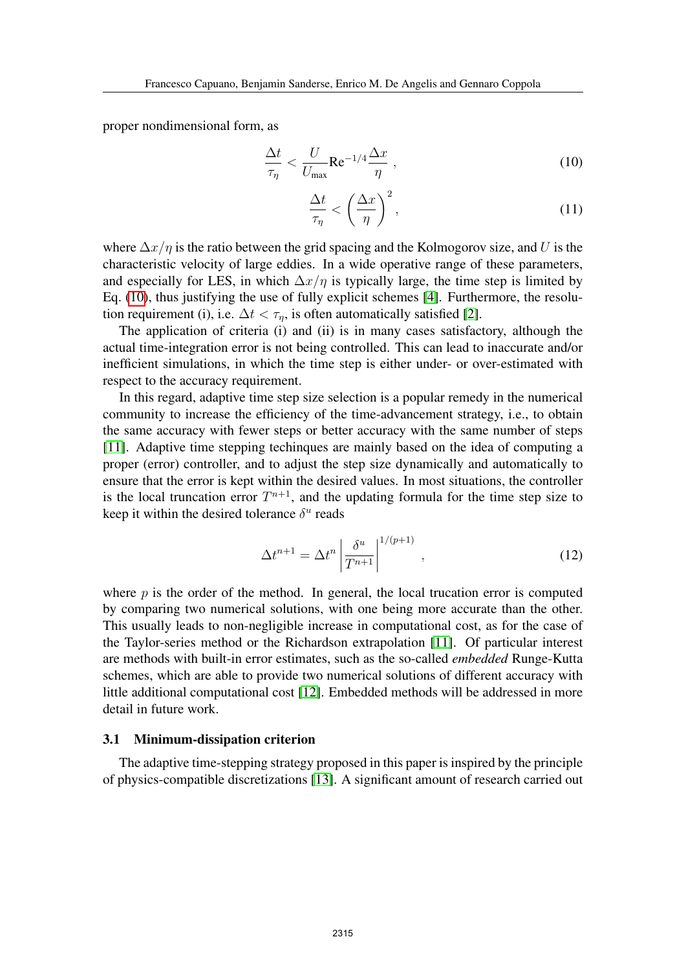proper nondimensional form, as

<span id="page-4-0"></span>
$$
\frac{\Delta t}{\tau_{\eta}} < \frac{U}{U_{\text{max}}} \text{Re}^{-1/4} \frac{\Delta x}{\eta} \,, \tag{10}
$$

$$
\frac{\Delta t}{\tau_{\eta}} < \left(\frac{\Delta x}{\eta}\right)^2,\tag{11}
$$

where  $\Delta x/\eta$  is the ratio between the grid spacing and the Kolmogorov size, and U is the characteristic velocity of large eddies. In a wide operative range of these parameters, and especially for LES, in which  $\Delta x/\eta$  is typically large, the time step is limited by Eq. [\(10\)](#page-4-0), thus justifying the use of fully explicit schemes [\[4\]](#page-11-3). Furthermore, the resolution requirement (i), i.e.  $\Delta t < \tau_n$ , is often automatically satisfied [\[2\]](#page-11-1).

The application of criteria (i) and (ii) is in many cases satisfactory, although the actual time-integration error is not being controlled. This can lead to inaccurate and/or inefficient simulations, in which the time step is either under- or over-estimated with respect to the accuracy requirement.

In this regard, adaptive time step size selection is a popular remedy in the numerical community to increase the efficiency of the time-advancement strategy, i.e., to obtain the same accuracy with fewer steps or better accuracy with the same number of steps [\[11\]](#page-11-10). Adaptive time stepping techinques are mainly based on the idea of computing a proper (error) controller, and to adjust the step size dynamically and automatically to ensure that the error is kept within the desired values. In most situations, the controller is the local truncation error  $T^{n+1}$ , and the updating formula for the time step size to keep it within the desired tolerance  $\delta^u$  reads

<span id="page-4-1"></span>
$$
\Delta t^{n+1} = \Delta t^n \left| \frac{\delta^u}{T^{n+1}} \right|^{1/(p+1)}, \qquad (12)
$$

where  $p$  is the order of the method. In general, the local trucation error is computed by comparing two numerical solutions, with one being more accurate than the other. This usually leads to non-negligible increase in computational cost, as for the case of the Taylor-series method or the Richardson extrapolation [\[11\]](#page-11-10). Of particular interest are methods with built-in error estimates, such as the so-called *embedded* Runge-Kutta schemes, which are able to provide two numerical solutions of different accuracy with little additional computational cost [\[12\]](#page-11-11). Embedded methods will be addressed in more detail in future work.

#### 3.1 Minimum-dissipation criterion

The adaptive time-stepping strategy proposed in this paper is inspired by the principle of physics-compatible discretizations [\[13\]](#page-11-12). A significant amount of research carried out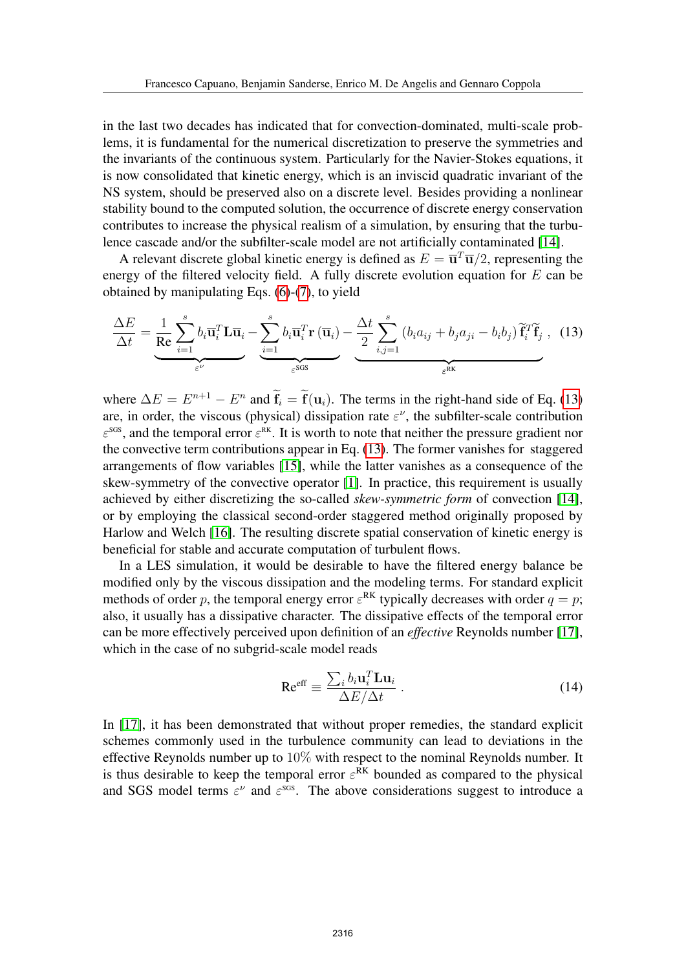in the last two decades has indicated that for convection-dominated, multi-scale problems, it is fundamental for the numerical discretization to preserve the symmetries and the invariants of the continuous system. Particularly for the Navier-Stokes equations, it is now consolidated that kinetic energy, which is an inviscid quadratic invariant of the NS system, should be preserved also on a discrete level. Besides providing a nonlinear stability bound to the computed solution, the occurrence of discrete energy conservation contributes to increase the physical realism of a simulation, by ensuring that the turbulence cascade and/or the subfilter-scale model are not artificially contaminated [\[14\]](#page-12-0).

A relevant discrete global kinetic energy is defined as  $E = \overline{\mathbf{u}}^T \overline{\mathbf{u}}/2$ , representing the energy of the filtered velocity field. A fully discrete evolution equation for  $E$  can be obtained by manipulating Eqs. [\(6\)](#page-3-1)-[\(7\)](#page-3-1), to yield

<span id="page-5-0"></span>
$$
\frac{\Delta E}{\Delta t} = \underbrace{\frac{1}{\text{Re}} \sum_{i=1}^{s} b_i \overline{\mathbf{u}}_i^T \mathbf{L} \overline{\mathbf{u}}_i}_{\varepsilon^{\nu}} - \underbrace{\sum_{i=1}^{s} b_i \overline{\mathbf{u}}_i^T \mathbf{r} (\overline{\mathbf{u}}_i)}_{\varepsilon^{\text{SGS}}} - \underbrace{\frac{\Delta t}{2} \sum_{i,j=1}^{s} (b_i a_{ij} + b_j a_{ji} - b_i b_j) \widetilde{\mathbf{f}}_i^T \widetilde{\mathbf{f}}_j}_{\varepsilon^{\text{RK}}}, \quad (13)
$$

where  $\Delta E = E^{n+1} - E^n$  and  $\mathbf{f}_i = \mathbf{f}(\mathbf{u}_i)$ . The terms in the right-hand side of Eq. [\(13\)](#page-5-0) are, in order, the viscous (physical) dissipation rate  $\varepsilon^{\nu}$ , the subfilter-scale contribution  $\varepsilon^{sgs}$ , and the temporal error  $\varepsilon^{RK}$ . It is worth to note that neither the pressure gradient nor the convective term contributions appear in Eq. [\(13\)](#page-5-0). The former vanishes for staggered arrangements of flow variables [\[15\]](#page-12-1), while the latter vanishes as a consequence of the skew-symmetry of the convective operator [\[1\]](#page-11-0). In practice, this requirement is usually achieved by either discretizing the so-called *skew-symmetric form* of convection [\[14\]](#page-12-0), or by employing the classical second-order staggered method originally proposed by Harlow and Welch [\[16\]](#page-12-2). The resulting discrete spatial conservation of kinetic energy is beneficial for stable and accurate computation of turbulent flows.

In a LES simulation, it would be desirable to have the filtered energy balance be modified only by the viscous dissipation and the modeling terms. For standard explicit methods of order p, the temporal energy error  $\varepsilon^{RK}$  typically decreases with order  $q = p$ ; also, it usually has a dissipative character. The dissipative effects of the temporal error can be more effectively perceived upon definition of an *effective* Reynolds number [\[17\]](#page-12-3), which in the case of no subgrid-scale model reads

$$
\text{Re}^{\text{eff}} \equiv \frac{\sum_{i} b_i \mathbf{u}_i^T \mathbf{L} \mathbf{u}_i}{\Delta E / \Delta t} \,. \tag{14}
$$

In [\[17\]](#page-12-3), it has been demonstrated that without proper remedies, the standard explicit schemes commonly used in the turbulence community can lead to deviations in the effective Reynolds number up to 10% with respect to the nominal Reynolds number. It is thus desirable to keep the temporal error  $\varepsilon^{RK}$  bounded as compared to the physical and SGS model terms  $\varepsilon^{\nu}$  and  $\varepsilon^{\text{sgs}}$ . The above considerations suggest to introduce a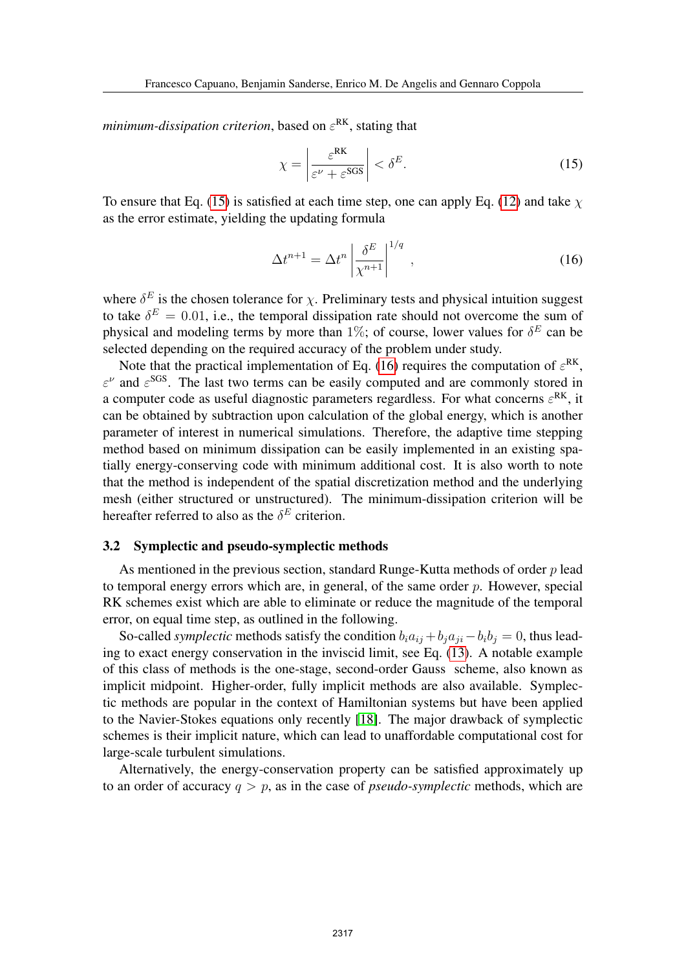*minimum-dissipation criterion*, based on  $\varepsilon^{\text{RK}}$ , stating that

<span id="page-6-0"></span>
$$
\chi = \left| \frac{\varepsilon^{\text{RK}}}{\varepsilon^{\nu} + \varepsilon^{\text{SGS}}} \right| < \delta^{E}.\tag{15}
$$

To ensure that Eq. [\(15\)](#page-6-0) is satisfied at each time step, one can apply Eq. [\(12\)](#page-4-1) and take  $\chi$ as the error estimate, yielding the updating formula

<span id="page-6-1"></span>
$$
\Delta t^{n+1} = \Delta t^n \left| \frac{\delta^E}{\chi^{n+1}} \right|^{1/q}, \qquad (16)
$$

where  $\delta^E$  is the chosen tolerance for  $\chi$ . Preliminary tests and physical intuition suggest to take  $\delta^E = 0.01$ , i.e., the temporal dissipation rate should not overcome the sum of physical and modeling terms by more than 1%; of course, lower values for  $\delta^E$  can be selected depending on the required accuracy of the problem under study.

Note that the practical implementation of Eq. [\(16\)](#page-6-1) requires the computation of  $\varepsilon^{RK}$ ,  $\varepsilon^{\nu}$  and  $\varepsilon^{\text{SGS}}$ . The last two terms can be easily computed and are commonly stored in a computer code as useful diagnostic parameters regardless. For what concerns  $\varepsilon^{RK}$ , it can be obtained by subtraction upon calculation of the global energy, which is another parameter of interest in numerical simulations. Therefore, the adaptive time stepping method based on minimum dissipation can be easily implemented in an existing spatially energy-conserving code with minimum additional cost. It is also worth to note that the method is independent of the spatial discretization method and the underlying mesh (either structured or unstructured). The minimum-dissipation criterion will be hereafter referred to also as the  $\delta^E$  criterion.

#### 3.2 Symplectic and pseudo-symplectic methods

As mentioned in the previous section, standard Runge-Kutta methods of order  $p$  lead to temporal energy errors which are, in general, of the same order  $p$ . However, special RK schemes exist which are able to eliminate or reduce the magnitude of the temporal error, on equal time step, as outlined in the following.

So-called *symplectic* methods satisfy the condition  $b_i a_{ij} + b_j a_{ji} - b_i b_j = 0$ , thus leading to exact energy conservation in the inviscid limit, see Eq. [\(13\)](#page-5-0). A notable example of this class of methods is the one-stage, second-order Gauss scheme, also known as implicit midpoint. Higher-order, fully implicit methods are also available. Symplectic methods are popular in the context of Hamiltonian systems but have been applied to the Navier-Stokes equations only recently [\[18\]](#page-12-4). The major drawback of symplectic schemes is their implicit nature, which can lead to unaffordable computational cost for large-scale turbulent simulations.

Alternatively, the energy-conservation property can be satisfied approximately up to an order of accuracy  $q > p$ , as in the case of *pseudo-symplectic* methods, which are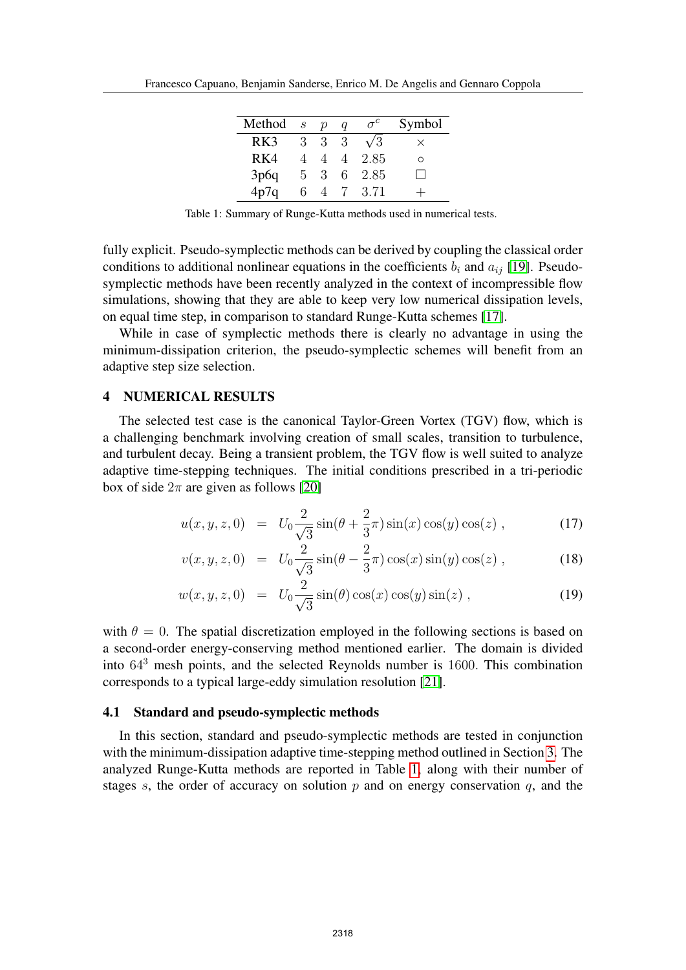| Method | $\cdot s$ | $\boldsymbol{\eta}$ | a | $\sigma^c$ | Symbol |
|--------|-----------|---------------------|---|------------|--------|
| RK3    | 3         | 3                   | 3 | $\sqrt{3}$ | X      |
| RK4    |           | $\overline{4}$      | 4 | 2.85       | ∩      |
| 3p6q   | $5 -$     | $\mathcal{S}$       |   | 6 2.85     |        |
| 4p7q   | 6         |                     |   | 3.71       |        |

<span id="page-7-1"></span>Table 1: Summary of Runge-Kutta methods used in numerical tests.

fully explicit. Pseudo-symplectic methods can be derived by coupling the classical order conditions to additional nonlinear equations in the coefficients  $b_i$  and  $a_{ij}$  [\[19\]](#page-12-5). Pseudosymplectic methods have been recently analyzed in the context of incompressible flow simulations, showing that they are able to keep very low numerical dissipation levels, on equal time step, in comparison to standard Runge-Kutta schemes [\[17\]](#page-12-3).

While in case of symplectic methods there is clearly no advantage in using the minimum-dissipation criterion, the pseudo-symplectic schemes will benefit from an adaptive step size selection.

#### <span id="page-7-0"></span>4 NUMERICAL RESULTS

The selected test case is the canonical Taylor-Green Vortex (TGV) flow, which is a challenging benchmark involving creation of small scales, transition to turbulence, and turbulent decay. Being a transient problem, the TGV flow is well suited to analyze adaptive time-stepping techniques. The initial conditions prescribed in a tri-periodic box of side  $2\pi$  are given as follows [\[20\]](#page-12-6)

$$
u(x, y, z, 0) = U_0 \frac{2}{\sqrt{3}} \sin(\theta + \frac{2}{3}\pi) \sin(x) \cos(y) \cos(z) , \qquad (17)
$$

$$
v(x, y, z, 0) = U_0 \frac{2}{\sqrt{3}} \sin(\theta - \frac{2}{3}\pi) \cos(x) \sin(y) \cos(z), \qquad (18)
$$

$$
w(x, y, z, 0) = U_0 \frac{2}{\sqrt{3}} \sin(\theta) \cos(x) \cos(y) \sin(z) , \qquad (19)
$$

with  $\theta = 0$ . The spatial discretization employed in the following sections is based on a second-order energy-conserving method mentioned earlier. The domain is divided into 64<sup>3</sup> mesh points, and the selected Reynolds number is 1600. This combination corresponds to a typical large-eddy simulation resolution [\[21\]](#page-12-7).

#### 4.1 Standard and pseudo-symplectic methods

In this section, standard and pseudo-symplectic methods are tested in conjunction with the minimum-dissipation adaptive time-stepping method outlined in Section [3.](#page-3-0) The analyzed Runge-Kutta methods are reported in Table [1,](#page-7-1) along with their number of stages s, the order of accuracy on solution  $p$  and on energy conservation  $q$ , and the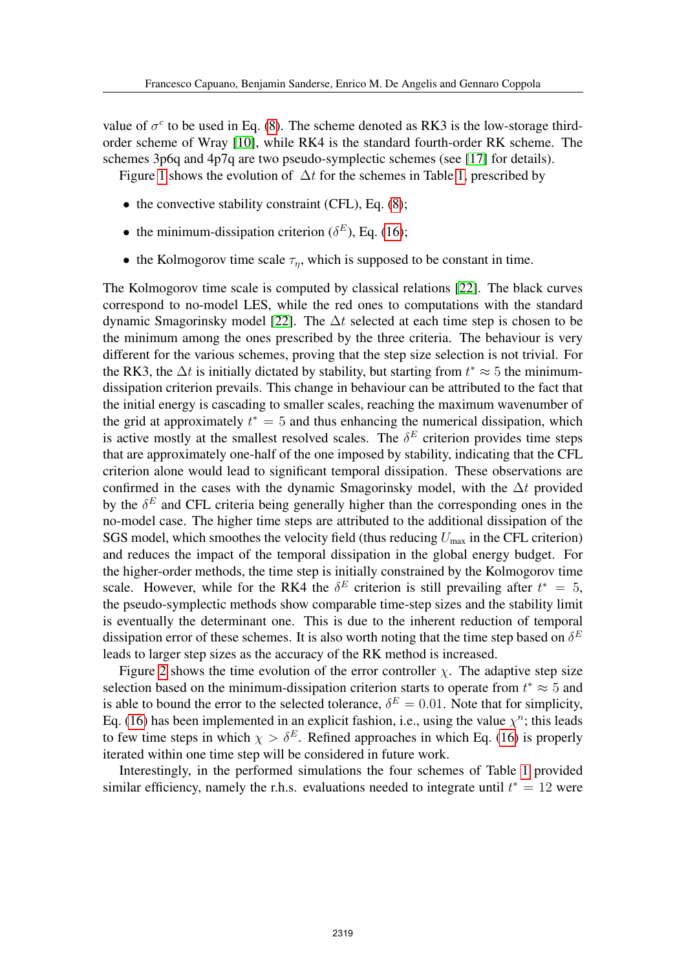value of  $\sigma^c$  to be used in Eq. [\(8\)](#page-3-2). The scheme denoted as RK3 is the low-storage thirdorder scheme of Wray [\[10\]](#page-11-9), while RK4 is the standard fourth-order RK scheme. The schemes 3p6q and 4p7q are two pseudo-symplectic schemes (see [\[17\]](#page-12-3) for details).

Figure [1](#page-9-1) shows the evolution of  $\Delta t$  for the schemes in Table [1,](#page-7-1) prescribed by

- $\bullet$  the convective stability constraint (CFL), Eq. [\(8\)](#page-3-2);
- the minimum-dissipation criterion ( $\delta^E$ ), Eq. [\(16\)](#page-6-1);
- the Kolmogorov time scale  $\tau_n$ , which is supposed to be constant in time.

The Kolmogorov time scale is computed by classical relations [\[22\]](#page-12-8). The black curves correspond to no-model LES, while the red ones to computations with the standard dynamic Smagorinsky model [\[22\]](#page-12-8). The  $\Delta t$  selected at each time step is chosen to be the minimum among the ones prescribed by the three criteria. The behaviour is very different for the various schemes, proving that the step size selection is not trivial. For the RK3, the  $\Delta t$  is initially dictated by stability, but starting from  $t^* \approx 5$  the minimumdissipation criterion prevails. This change in behaviour can be attributed to the fact that the initial energy is cascading to smaller scales, reaching the maximum wavenumber of the grid at approximately  $t^* = 5$  and thus enhancing the numerical dissipation, which is active mostly at the smallest resolved scales. The  $\delta^E$  criterion provides time steps that are approximately one-half of the one imposed by stability, indicating that the CFL criterion alone would lead to significant temporal dissipation. These observations are confirmed in the cases with the dynamic Smagorinsky model, with the  $\Delta t$  provided by the  $\delta^E$  and CFL criteria being generally higher than the corresponding ones in the no-model case. The higher time steps are attributed to the additional dissipation of the SGS model, which smoothes the velocity field (thus reducing  $U_{\text{max}}$  in the CFL criterion) and reduces the impact of the temporal dissipation in the global energy budget. For the higher-order methods, the time step is initially constrained by the Kolmogorov time scale. However, while for the RK4 the  $\delta^E$  criterion is still prevailing after  $t^* = 5$ , the pseudo-symplectic methods show comparable time-step sizes and the stability limit is eventually the determinant one. This is due to the inherent reduction of temporal dissipation error of these schemes. It is also worth noting that the time step based on  $\delta^E$ leads to larger step sizes as the accuracy of the RK method is increased.

Figure [2](#page-10-0) shows the time evolution of the error controller  $\chi$ . The adaptive step size selection based on the minimum-dissipation criterion starts to operate from  $t^* \approx 5$  and is able to bound the error to the selected tolerance,  $\delta^E = 0.01$ . Note that for simplicity, Eq. [\(16\)](#page-6-1) has been implemented in an explicit fashion, i.e., using the value  $\chi^n$ ; this leads to few time steps in which  $\chi > \delta^E$ . Refined approaches in which Eq. [\(16\)](#page-6-1) is properly iterated within one time step will be considered in future work.

Interestingly, in the performed simulations the four schemes of Table [1](#page-7-1) provided similar efficiency, namely the r.h.s. evaluations needed to integrate until  $t^* = 12$  were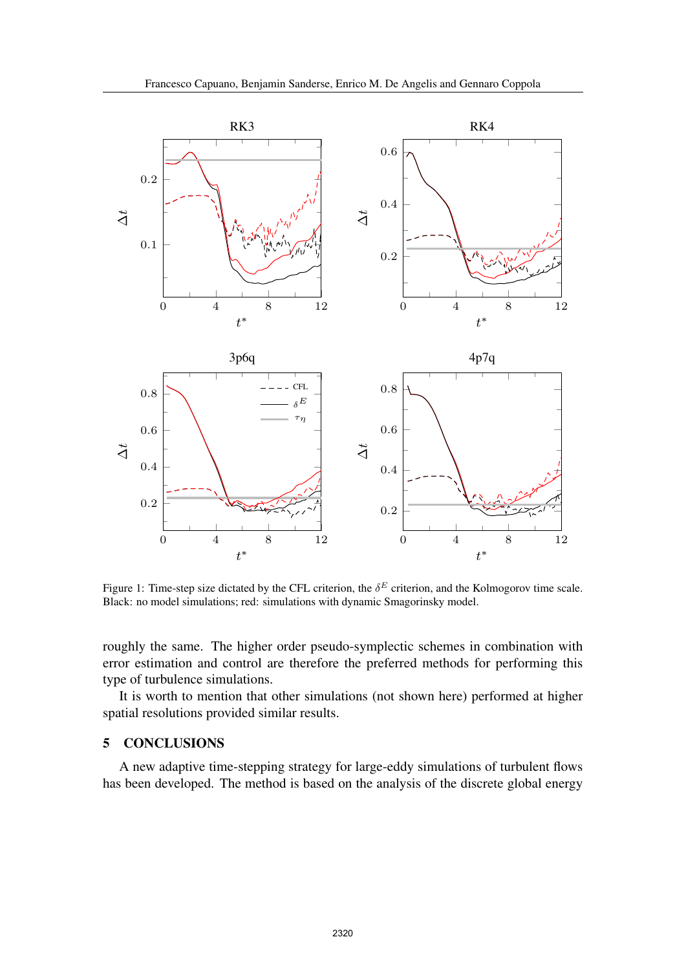

<span id="page-9-1"></span>Figure 1: Time-step size dictated by the CFL criterion, the  $\delta^E$  criterion, and the Kolmogorov time scale. Black: no model simulations; red: simulations with dynamic Smagorinsky model.

roughly the same. The higher order pseudo-symplectic schemes in combination with error estimation and control are therefore the preferred methods for performing this type of turbulence simulations.

It is worth to mention that other simulations (not shown here) performed at higher spatial resolutions provided similar results.

### <span id="page-9-0"></span>5 CONCLUSIONS

A new adaptive time-stepping strategy for large-eddy simulations of turbulent flows has been developed. The method is based on the analysis of the discrete global energy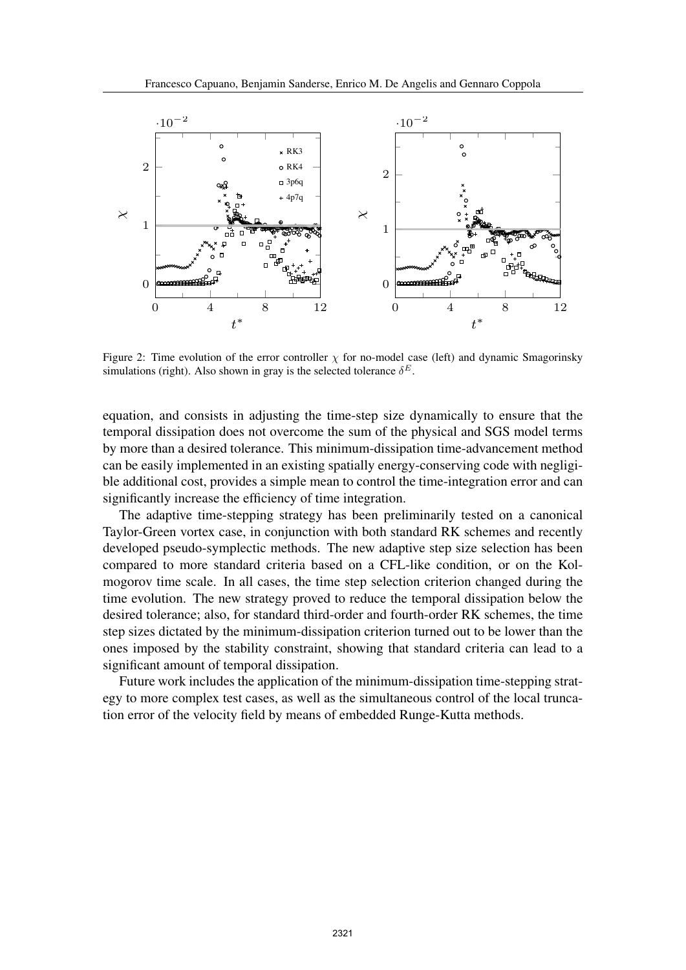

<span id="page-10-0"></span>Figure 2: Time evolution of the error controller  $\chi$  for no-model case (left) and dynamic Smagorinsky simulations (right). Also shown in gray is the selected tolerance  $\delta^E$ .

equation, and consists in adjusting the time-step size dynamically to ensure that the temporal dissipation does not overcome the sum of the physical and SGS model terms by more than a desired tolerance. This minimum-dissipation time-advancement method can be easily implemented in an existing spatially energy-conserving code with negligible additional cost, provides a simple mean to control the time-integration error and can significantly increase the efficiency of time integration.

The adaptive time-stepping strategy has been preliminarily tested on a canonical Taylor-Green vortex case, in conjunction with both standard RK schemes and recently developed pseudo-symplectic methods. The new adaptive step size selection has been compared to more standard criteria based on a CFL-like condition, or on the Kolmogorov time scale. In all cases, the time step selection criterion changed during the time evolution. The new strategy proved to reduce the temporal dissipation below the desired tolerance; also, for standard third-order and fourth-order RK schemes, the time step sizes dictated by the minimum-dissipation criterion turned out to be lower than the ones imposed by the stability constraint, showing that standard criteria can lead to a significant amount of temporal dissipation.

Future work includes the application of the minimum-dissipation time-stepping strategy to more complex test cases, as well as the simultaneous control of the local truncation error of the velocity field by means of embedded Runge-Kutta methods.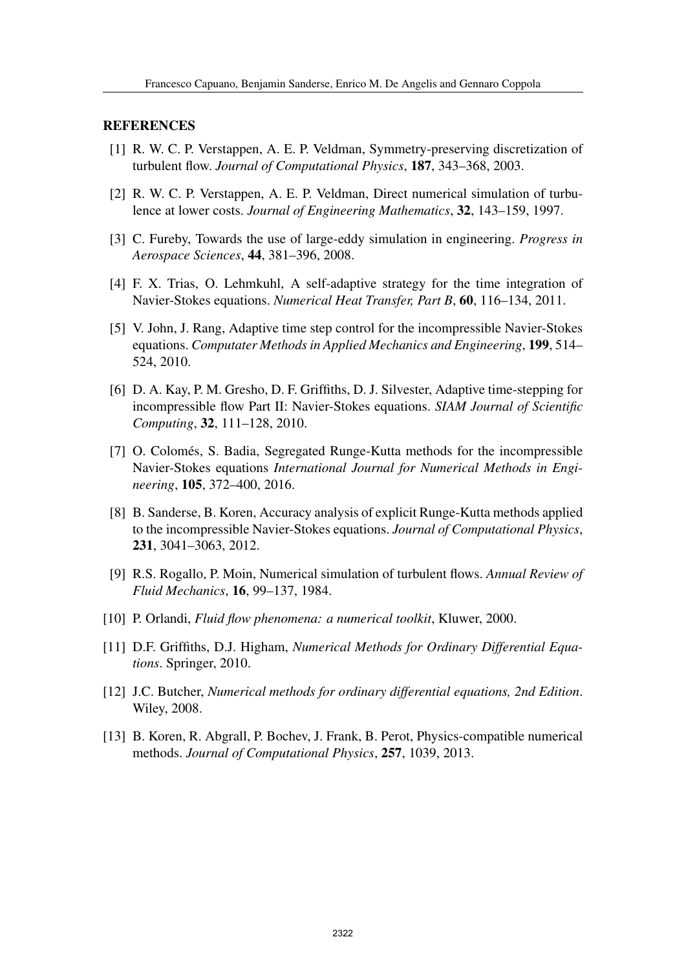#### <span id="page-11-0"></span>REFERENCES

- [1] R. W. C. P. Verstappen, A. E. P. Veldman, Symmetry-preserving discretization of turbulent flow. *Journal of Computational Physics*, 187, 343–368, 2003.
- <span id="page-11-1"></span>[2] R. W. C. P. Verstappen, A. E. P. Veldman, Direct numerical simulation of turbulence at lower costs. *Journal of Engineering Mathematics*, 32, 143–159, 1997.
- <span id="page-11-2"></span>[3] C. Fureby, Towards the use of large-eddy simulation in engineering. *Progress in Aerospace Sciences*, 44, 381–396, 2008.
- <span id="page-11-3"></span>[4] F. X. Trias, O. Lehmkuhl, A self-adaptive strategy for the time integration of Navier-Stokes equations. *Numerical Heat Transfer, Part B*, 60, 116–134, 2011.
- <span id="page-11-4"></span>[5] V. John, J. Rang, Adaptive time step control for the incompressible Navier-Stokes equations. *Computater Methods in Applied Mechanics and Engineering*, 199, 514– 524, 2010.
- <span id="page-11-5"></span>[6] D. A. Kay, P. M. Gresho, D. F. Griffiths, D. J. Silvester, Adaptive time-stepping for incompressible flow Part II: Navier-Stokes equations. *SIAM Journal of Scientific Computing*, 32, 111–128, 2010.
- <span id="page-11-6"></span>[7] O. Colomés, S. Badia, Segregated Runge-Kutta methods for the incompressible Navier-Stokes equations *International Journal for Numerical Methods in Engineering*, 105, 372–400, 2016.
- <span id="page-11-7"></span>[8] B. Sanderse, B. Koren, Accuracy analysis of explicit Runge-Kutta methods applied to the incompressible Navier-Stokes equations. *Journal of Computational Physics*, 231, 3041–3063, 2012.
- <span id="page-11-8"></span>[9] R.S. Rogallo, P. Moin, Numerical simulation of turbulent flows. *Annual Review of Fluid Mechanics*, 16, 99–137, 1984.
- <span id="page-11-9"></span>[10] P. Orlandi, *Fluid flow phenomena: a numerical toolkit*, Kluwer, 2000.
- <span id="page-11-10"></span>[11] D.F. Griffiths, D.J. Higham, *Numerical Methods for Ordinary Differential Equations*. Springer, 2010.
- <span id="page-11-11"></span>[12] J.C. Butcher, *Numerical methods for ordinary differential equations, 2nd Edition*. Wiley, 2008.
- <span id="page-11-12"></span>[13] B. Koren, R. Abgrall, P. Bochev, J. Frank, B. Perot, Physics-compatible numerical methods. *Journal of Computational Physics*, 257, 1039, 2013.